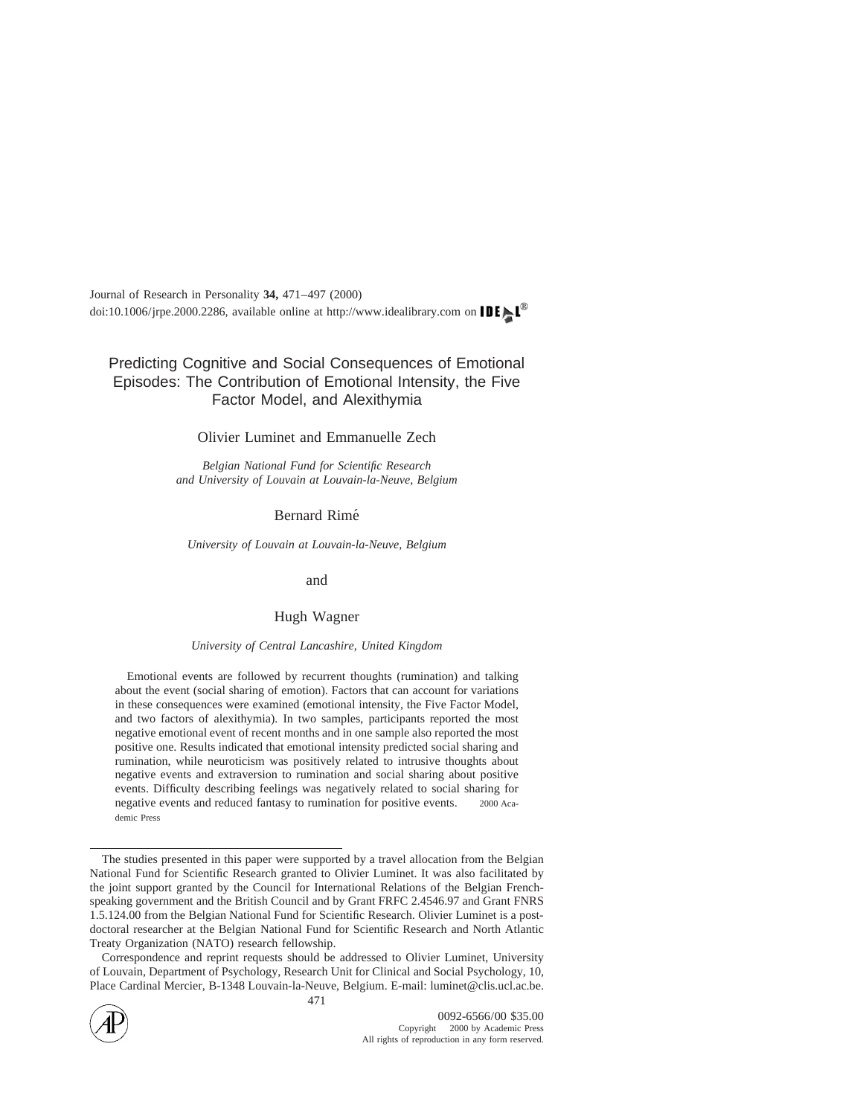## Predicting Cognitive and Social Consequences of Emotional Episodes: The Contribution of Emotional Intensity, the Five Factor Model, and Alexithymia

### Olivier Luminet and Emmanuelle Zech

*Belgian National Fund for Scientific Research and University of Louvain at Louvain-la-Neuve, Belgium*

## Bernard Rime´

*University of Louvain at Louvain-la-Neuve, Belgium*

#### and

## Hugh Wagner

#### *University of Central Lancashire, United Kingdom*

Emotional events are followed by recurrent thoughts (rumination) and talking about the event (social sharing of emotion). Factors that can account for variations in these consequences were examined (emotional intensity, the Five Factor Model, and two factors of alexithymia). In two samples, participants reported the most negative emotional event of recent months and in one sample also reported the most positive one. Results indicated that emotional intensity predicted social sharing and rumination, while neuroticism was positively related to intrusive thoughts about negative events and extraversion to rumination and social sharing about positive events. Difficulty describing feelings was negatively related to social sharing for negative events and reduced fantasy to rumination for positive events.  $\circ$  2000 Academic Press

Correspondence and reprint requests should be addressed to Olivier Luminet, University of Louvain, Department of Psychology, Research Unit for Clinical and Social Psychology, 10, Place Cardinal Mercier, B-1348 Louvain-la-Neuve, Belgium. E-mail: luminet@clis.ucl.ac.be.



The studies presented in this paper were supported by a travel allocation from the Belgian National Fund for Scientific Research granted to Olivier Luminet. It was also facilitated by the joint support granted by the Council for International Relations of the Belgian Frenchspeaking government and the British Council and by Grant FRFC 2.4546.97 and Grant FNRS 1.5.124.00 from the Belgian National Fund for Scientific Research. Olivier Luminet is a postdoctoral researcher at the Belgian National Fund for Scientific Research and North Atlantic Treaty Organization (NATO) research fellowship.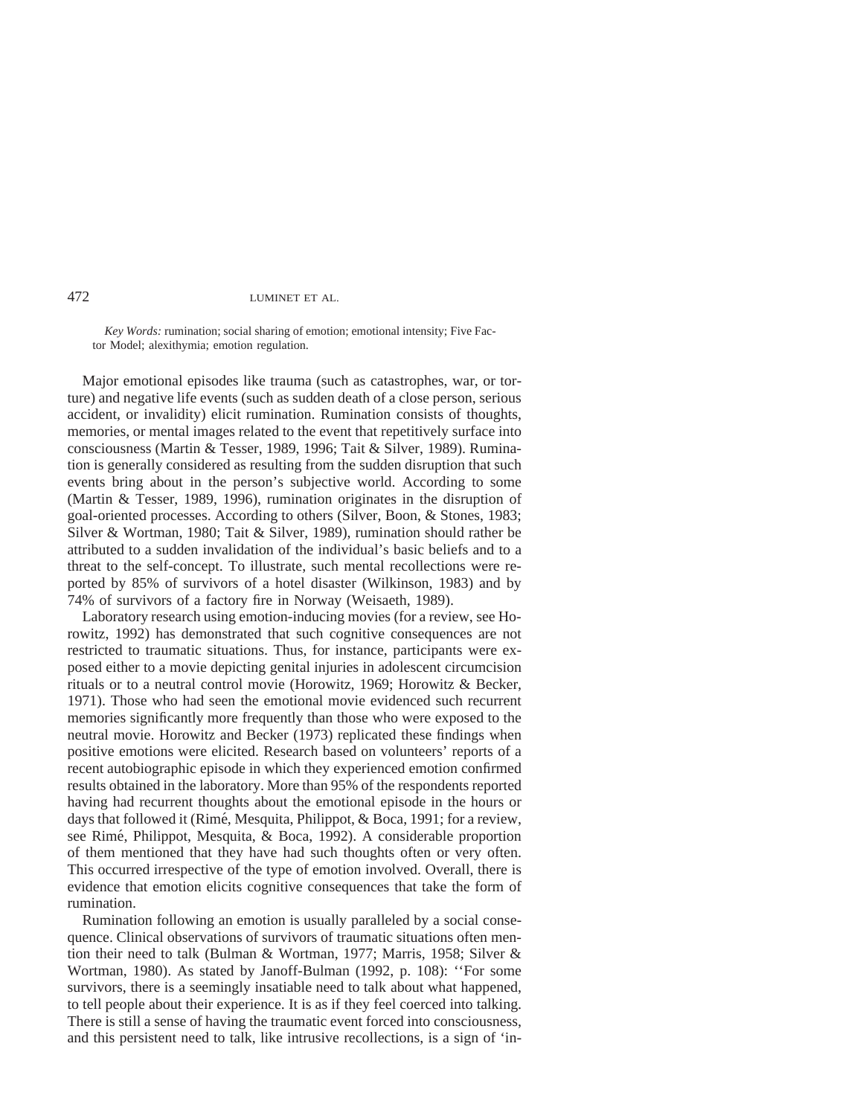*Key Words:* rumination; social sharing of emotion; emotional intensity; Five Factor Model; alexithymia; emotion regulation.

Major emotional episodes like trauma (such as catastrophes, war, or torture) and negative life events (such as sudden death of a close person, serious accident, or invalidity) elicit rumination. Rumination consists of thoughts, memories, or mental images related to the event that repetitively surface into consciousness (Martin & Tesser, 1989, 1996; Tait & Silver, 1989). Rumination is generally considered as resulting from the sudden disruption that such events bring about in the person's subjective world. According to some (Martin & Tesser, 1989, 1996), rumination originates in the disruption of goal-oriented processes. According to others (Silver, Boon, & Stones, 1983; Silver & Wortman, 1980; Tait & Silver, 1989), rumination should rather be attributed to a sudden invalidation of the individual's basic beliefs and to a threat to the self-concept. To illustrate, such mental recollections were reported by 85% of survivors of a hotel disaster (Wilkinson, 1983) and by 74% of survivors of a factory fire in Norway (Weisaeth, 1989).

Laboratory research using emotion-inducing movies (for a review, see Horowitz, 1992) has demonstrated that such cognitive consequences are not restricted to traumatic situations. Thus, for instance, participants were exposed either to a movie depicting genital injuries in adolescent circumcision rituals or to a neutral control movie (Horowitz, 1969; Horowitz & Becker, 1971). Those who had seen the emotional movie evidenced such recurrent memories significantly more frequently than those who were exposed to the neutral movie. Horowitz and Becker (1973) replicated these findings when positive emotions were elicited. Research based on volunteers' reports of a recent autobiographic episode in which they experienced emotion confirmed results obtained in the laboratory. More than 95% of the respondents reported having had recurrent thoughts about the emotional episode in the hours or days that followed it (Rimé, Mesquita, Philippot, & Boca, 1991; for a review, see Rimé, Philippot, Mesquita, & Boca, 1992). A considerable proportion of them mentioned that they have had such thoughts often or very often. This occurred irrespective of the type of emotion involved. Overall, there is evidence that emotion elicits cognitive consequences that take the form of rumination.

Rumination following an emotion is usually paralleled by a social consequence. Clinical observations of survivors of traumatic situations often mention their need to talk (Bulman & Wortman, 1977; Marris, 1958; Silver & Wortman, 1980). As stated by Janoff-Bulman (1992, p. 108): ''For some survivors, there is a seemingly insatiable need to talk about what happened, to tell people about their experience. It is as if they feel coerced into talking. There is still a sense of having the traumatic event forced into consciousness, and this persistent need to talk, like intrusive recollections, is a sign of 'in-